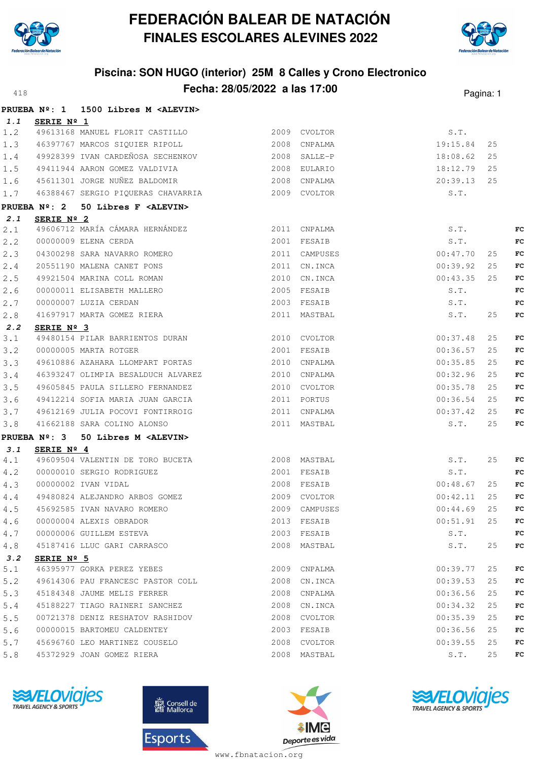



# **Piscina: SON HUGO (interior) 25M 8 Calles y Crono Electronico Fecha: 28/05/2022 a las 17:00**<sup>418</sup> Pagina: 1

|     |                        | PRUEBA Nº: 1 1500 Libres M <alevin></alevin>         |      |               |                  |    |    |
|-----|------------------------|------------------------------------------------------|------|---------------|------------------|----|----|
| 1.1 | SERIE Nº 1             |                                                      |      |               |                  |    |    |
| 1.2 |                        | 49613168 MANUEL FLORIT CASTILLO 2009 CVOLTOR         |      |               | S.T.             |    |    |
| 1.3 |                        | 2008 CNPALMA<br>46397767 MARCOS SIQUIER RIPOLL       |      |               | 19:15.84         | 25 |    |
| 1.4 |                        | 49928399 IVAN CARDEÑOSA SECHENKOV 60000 2008 SALLE-P |      |               | 18:08.62         | 25 |    |
| 1.5 |                        |                                                      |      |               | 18:12.79         | 25 |    |
| 1.6 |                        |                                                      |      |               | 20:39.13         | 25 |    |
| 1.7 |                        | 46388467 SERGIO PIQUERAS CHAVARRIA 2009 CVOLTOR      |      |               | S.T.             |    |    |
|     | PRUEBA $N^{\circ}$ : 2 | 50 Libres F <alevin></alevin>                        |      |               |                  |    |    |
| 2.1 | SERIE Nº 2             |                                                      |      |               |                  |    |    |
| 2.1 |                        | 2011 CNPALMA<br>49606712 MARÍA CÁMARA HERNÁNDEZ      |      |               | S.T.             |    | FC |
| 2.2 |                        | 2001 FESAIB<br>00000009 ELENA CERDA                  |      |               | S.T.             |    | FC |
| 2.3 |                        | 04300298 SARA NAVARRO ROMERO                         |      | 2011 CAMPUSES | 00:47.70         | 25 | FC |
| 2.4 |                        | 20551190 MALENA CANET PONS                           |      | 2011 CN.INCA  | 00:39.92         | 25 | FC |
| 2.5 |                        | 49921504 MARINA COLL ROMAN                           |      | 2010 CN.INCA  | 00:43.35         | 25 | FC |
| 2.6 |                        | 00000011 ELISABETH MALLERO                           |      | 2005 FESAIB   | S.T.             |    | FC |
| 2.7 |                        | 00000007 LUZIA CERDAN                                |      | 2003 FESAIB   | S.T.             |    | FC |
| 2.8 |                        | 41697917 MARTA GOMEZ RIERA                           |      | 2011 MASTBAL  | S.T.             | 25 | FC |
| 2.2 | SERIE Nº 3             |                                                      |      |               |                  |    |    |
| 3.1 |                        | 49480154 PILAR BARRIENTOS DURAN 2010 CVOLTOR         |      |               | 00:37.48         | 25 | FC |
| 3.2 |                        | 00000005 MARTA ROTGER                                |      | 2001 FESAIB   | 00:36.57         | 25 | FC |
| 3.3 |                        | 49610886 AZAHARA LLOMPART PORTAS                     |      | 2010 CNPALMA  | 00:35.85         | 25 | FC |
| 3.4 |                        | 46393247 OLIMPIA BESALDUCH ALVAREZ 2010 CNPALMA      |      |               | 00:32.96         | 25 | FC |
| 3.5 |                        | 49605845 PAULA SILLERO FERNANDEZ                     |      | 2010 CVOLTOR  | 00:35.78         | 25 | FC |
| 3.6 |                        | 49412214 SOFIA MARIA JUAN GARCIA                     |      | 2011 PORTUS   | 00:36.54         | 25 | FC |
| 3.7 |                        | 49612169 JULIA POCOVI FONTIRROIG 2011 CNPALMA        |      |               | 00:37.42         | 25 | FC |
| 3.8 |                        | 41662188 SARA COLINO ALONSO 2011 MASTBAL             |      |               | S.T.             | 25 | FC |
|     |                        | PRUEBA Nº: 3 50 Libres M <alevin></alevin>           |      |               |                  |    |    |
| 3.1 | SERIE Nº 4             |                                                      |      |               |                  |    |    |
| 4.1 |                        | 49609504 VALENTIN DE TORO BUCETA                     |      | 2008 MASTBAL  | S.T.             | 25 | FC |
| 4.2 |                        | 00000010 SERGIO RODRIGUEZ<br>2001 FESAIB             |      |               | S.T.             |    | FC |
| 4.3 |                        | 00000002 IVAN VIDAL                                  |      | 2008 FESAIB   | 00:48.67         | 25 | FC |
| 4.4 |                        | 49480824 ALEJANDRO ARBOS GOMEZ 2009 CVOLTOR          |      |               | 00:42.11         | 25 | FC |
|     |                        | 4.5 45692585 IVAN NAVARO ROMERO<br>2009 CAMPUSES     |      |               | $00:44.69$ 25 FC |    |    |
| 4.6 |                        | 00000004 ALEXIS OBRADOR                              | 2013 | FESAIB        | 00:51.91         | 25 | FC |
| 4.7 |                        | 00000006 GUILLEM ESTEVA                              |      | 2003 FESAIB   | S.T.             |    | FC |
| 4.8 |                        | 45187416 LLUC GARI CARRASCO                          |      | 2008 MASTBAL  | S.T.             | 25 | FC |
| 3.2 | SERIE Nº 5             |                                                      |      |               |                  |    |    |
| 5.1 |                        | 46395977 GORKA PEREZ YEBES                           |      | 2009 CNPALMA  | 00:39.77         | 25 | FC |
| 5.2 |                        | 49614306 PAU FRANCESC PASTOR COLL                    | 2008 | CN.INCA       | 00:39.53         | 25 | FC |
| 5.3 |                        | 45184348 JAUME MELIS FERRER                          |      | 2008 CNPALMA  | 00:36.56         | 25 | FC |
| 5.4 |                        | 45188227 TIAGO RAINERI SANCHEZ                       |      | 2008 CN.INCA  | 00:34.32         | 25 | FC |
| 5.5 |                        | 00721378 DENIZ RESHATOV RASHIDOV                     |      | 2008 CVOLTOR  | 00:35.39         | 25 | FC |
| 5.6 |                        | 00000015 BARTOMEU CALDENTEY                          |      | 2003 FESAIB   | 00:36.56         | 25 | FC |
| 5.7 |                        | 45696760 LEO MARTINEZ COUSELO                        |      | 2008 CVOLTOR  | 00:39.55         | 25 | FC |
| 5.8 |                        | 45372929 JOAN GOMEZ RIERA                            |      | 2008 MASTBAL  | S.T.             | 25 | FC |







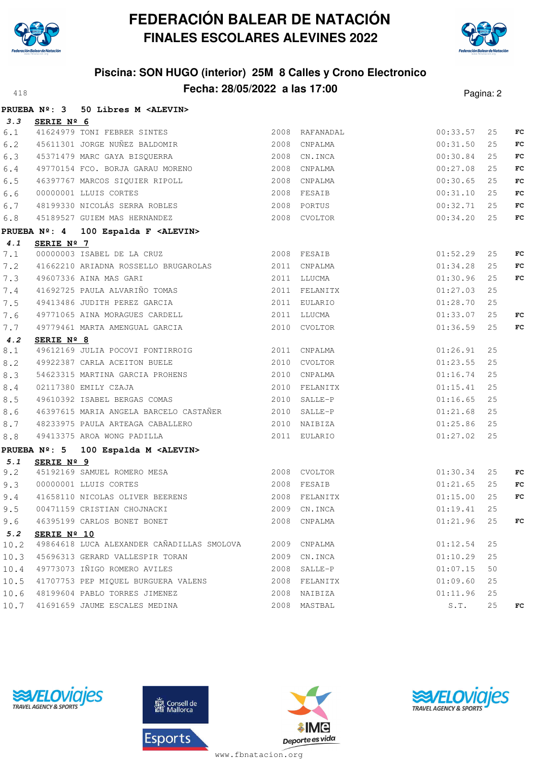



# **Piscina: SON HUGO (interior) 25M 8 Calles y Crono Electronico Fecha: 28/05/2022 a las 17:00**<sup>418</sup> Pagina: 2

|         |             | PRUEBA Nº: 3 50 Libres M <alevin></alevin>                                                     |               |          |    |     |
|---------|-------------|------------------------------------------------------------------------------------------------|---------------|----------|----|-----|
| 3.3     | SERIE Nº 6  |                                                                                                |               |          |    |     |
| 6.1     |             | 41624979 TONI FEBRER SINTES 2008 RAFANADAL                                                     |               | 00:33.57 | 25 | FC  |
| 6.2     |             | 45611301 JORGE NUÑEZ BALDOMIR (2008 CNPALMA                                                    |               | 00:31.50 | 25 | FC  |
| 6.3     |             | 45371479 MARC GAYA BISQUERRA                                                                   | 2008 CN.INCA  | 00:30.84 | 25 | FC  |
| 6.4     |             | 49770154 FCO. BORJA GARAU MORENO                                                               | 2008 CNPALMA  | 00:27.08 | 25 | FC  |
| 6.5     |             | 46397767 MARCOS SIQUIER RIPOLL 2008 CNPALMA                                                    |               | 00:30.65 | 25 | FC  |
| 6.6     |             |                                                                                                |               | 00:31.10 | 25 | FC  |
| 6.7     |             |                                                                                                |               | 00:32.71 | 25 | FC  |
| $6.8$   |             | 45189527 GUIEM MAS HERNANDEZ 2008 CVOLTOR                                                      |               | 00:34.20 | 25 | FC  |
|         |             | PRUEBA Nº: 4 100 Espalda F <alevin></alevin>                                                   |               |          |    |     |
| 4.1     | SERIE Nº 7  |                                                                                                |               |          |    |     |
| 7.1     |             | <b>SERIE Nº 7</b><br>00000003 ISABEL DE LA CRUZ $\begin{array}{ccc} 2008 & FESAIB \end{array}$ |               | 01:52.29 | 25 | FC  |
| 7.2     |             | 41662210 ARIADNA ROSSELLO BRUGAROLAS 2011 CNPALMA                                              |               | 01:34.28 | 25 | FC  |
| 7.3     |             | 49607336 AINA MAS GARI<br>2011 LLUCMA                                                          | 01:30.96      |          | 25 | FC  |
|         |             | 7.4 41692725 PAULA ALVARIÑO TOMAS                                                              | 2011 FELANITX | 01:27.03 | 25 |     |
| 7.5     |             | 49413486 JUDITH PEREZ GARCIA                                                                   | 2011 EULARIO  | 01:28.70 | 25 |     |
| 7.6     |             | 49771065 AINA MORAGUES CARDELL                                                                 | 2011 LLUCMA   | 01:33.07 | 25 | FC  |
| 7.7     |             | 49779461 MARTA AMENGUAL GARCIA                                                                 | 2010 CVOLTOR  | 01:36.59 | 25 | FC  |
| 4.2     | SERIE Nº 8  |                                                                                                |               |          |    |     |
| 8.1     |             | 49612169 JULIA POCOVI FONTIRROIG 2011 CNPALMA                                                  |               | 01:26.91 | 25 |     |
| 8.2     |             | 49922387 CARLA ACEITON BUELE 2010 CVOLTOR                                                      |               | 01:23.55 | 25 |     |
| 8.3     |             | 54623315 MARTINA GARCIA PROHENS 2010 CNPALMA                                                   |               | 01:16.74 | 25 |     |
| $8.4$   |             | 02117380 EMILY CZAJA                                                                           | 2010 FELANITX | 01:15.41 | 25 |     |
| 8.5     |             | 49610392 ISABEL BERGAS COMAS                                                                   | 2010 SALLE-P  | 01:16.65 | 25 |     |
| $8.6$   |             | 46397615 MARIA ANGELA BARCELO CASTAÑER 2010 SALLE-P                                            |               | 01:21.68 | 25 |     |
| $8.7\,$ |             |                                                                                                |               |          | 25 |     |
| 8.8     |             | 49413375 AROA WONG PADILLA                                                                     | 2011 EULARIO  | 01:27.02 | 25 |     |
|         |             | PRUEBA Nº: 5 100 Espalda M <alevin></alevin>                                                   |               |          |    |     |
| 5.1     | SERIE Nº 9  |                                                                                                |               |          |    |     |
| 9.2     |             | 45192169 SAMUEL ROMERO MESA 2008 CVOLTOR                                                       | 01:30.34      |          | 25 | FC  |
|         |             | 9.3 00000001 LLUIS CORTES                                                                      | 2008 FESAIB   | 01:21.65 | 25 | FC  |
| 9.4     |             | 41658110 NICOLAS OLIVER BEERENS 2008 FELANITX                                                  |               | 01:15.00 | 25 | FC  |
|         |             | 9.5 00471159 CRISTIAN CHOJNACKI 2009 CN.INCA 2009 CN.INCA 25                                   |               |          |    |     |
| 9.6     |             | 46395199 CARLOS BONET BONET                                                                    | 2008 CNPALMA  | 01:21.96 | 25 | FC. |
| 5.2     | SERIE Nº 10 |                                                                                                |               |          |    |     |
| 10.2    |             | 49864618 LUCA ALEXANDER CAÑADILLAS SMOLOVA 2009 CNPALMA                                        |               | 01:12.54 | 25 |     |
| 10.3    |             | 45696313 GERARD VALLESPIR TORAN                                                                | 2009 CN.INCA  | 01:10.29 | 25 |     |
| 10.4    |             | 49773073 IÑIGO ROMERO AVILES                                                                   | 2008 SALLE-P  | 01:07.15 | 50 |     |
| 10.5    |             | 41707753 PEP MIQUEL BURGUERA VALENS                                                            | 2008 FELANITX | 01:09.60 | 25 |     |
|         |             | 10.6 48199604 PABLO TORRES JIMENEZ                                                             | 2008 NAIBIZA  | 01:11.96 | 25 |     |
|         |             | 10.7 41691659 JAUME ESCALES MEDINA                                                             | 2008 MASTBAL  | S.T.     | 25 | FC. |







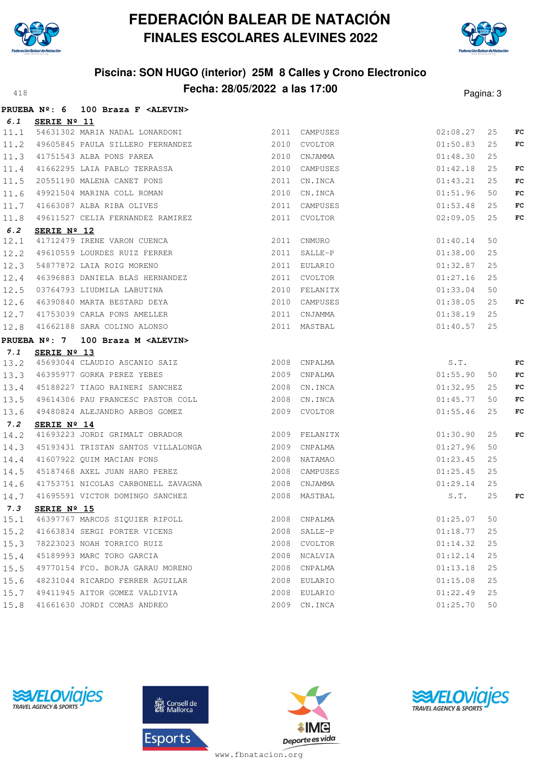



# **Piscina: SON HUGO (interior) 25M 8 Calles y Crono Electronico Fecha: 28/05/2022 a las 17:00**<sup>418</sup> Pagina: 3

|      |                      | PRUEBA Nº: 6 100 Braza F <alevin></alevin>                                                                                                    |                                              |                       |    |    |
|------|----------------------|-----------------------------------------------------------------------------------------------------------------------------------------------|----------------------------------------------|-----------------------|----|----|
|      | 6.1 SERIE Nº 11      |                                                                                                                                               |                                              |                       |    |    |
|      |                      | 11.1 54631302 MARIA NADAL LONARDONI 2011 CAMPUSES                                                                                             |                                              | 02:08.27              | 25 | FC |
|      |                      | 11.2 49605845 PAULA SILLERO FERNANDEZ 2010 CVOLTOR                                                                                            |                                              | 01:50.83              | 25 | FC |
|      |                      |                                                                                                                                               | 2010 CNJAMMA                                 | 01:48.30              | 25 |    |
|      |                      | $11.2$ $1751543$ ALBA PONS PAREA<br>11.3 $41751543$ ALBA PONS PAREA<br>11.4 $41662295$ LAIA PABLO TERRASSA                                    | 2010 CAMPUSES                                | 01:42.18              | 25 | FC |
| 11.5 |                      | 20551190 MALENA CANET PONS                                                                                                                    | 2011 CN.INCA                                 | 01:43.21              | 25 | FC |
| 11.6 |                      | 49921504 MARINA COLL ROMAN                                                                                                                    | 2010 CN.INCA                                 | 01:51.96              | 50 | FC |
|      |                      | 11.7 41663087 ALBA RIBA OLIVES                                                                                                                | 2011 CAMPUSES                                | 01:53.48              | 25 | FC |
| 11.8 |                      | 49611527 CELIA FERNANDEZ RAMIREZ                                                                                                              | 2011 CVOLTOR                                 | 02:09.05              | 25 | FC |
| 6.2  | SERIE $N^{\circ}$ 12 |                                                                                                                                               |                                              |                       |    |    |
| 12.1 |                      | 41712479 IRENE VARON CUENCA 2011 CNMURO                                                                                                       |                                              | 01:40.14              | 50 |    |
|      |                      | 12.2 49610559 LOURDES RUIZ FERRER                                                                                                             |                                              | 2011 SALLE-P 01:38.00 | 25 |    |
|      |                      | 12.2 19910009 2011-2012<br>12.3 54877872 LAIA ROIG MORENO 2011 EULARIO 01:32.87<br>12.4 46396883 DANIELA BLAS HERNANDEZ 2011 CVOLTOR 01:27.16 |                                              | 01:32.87              | 25 |    |
|      |                      |                                                                                                                                               |                                              |                       | 25 |    |
| 12.5 |                      | 03764793 LIUDMILA LABUTINA                                                                                                                    | 2010 FELANITX                                | 01:33.04              | 50 |    |
|      |                      | 12.6 46390840 MARTA BESTARD DEYA                                                                                                              | 2010 CAMPUSES                                | 01:38.05              | 25 | FC |
|      |                      |                                                                                                                                               | 2011 CNJAMMA<br>2011 MASTBAL<br>2011 CNJAMMA | 01:38.19              | 25 |    |
|      |                      | 12.7 41753039 CARLA PONS AMELLER<br>12.8 41662188 SARA COLINO ALONSO                                                                          |                                              | 01:40.57              | 25 |    |
|      |                      | PRUEBA Nº: 7 100 Braza M <alevin></alevin>                                                                                                    |                                              |                       |    |    |
| 7.1  | SERIE Nº 13          |                                                                                                                                               |                                              |                       |    |    |
|      |                      | 13.2 45693044 CLAUDIO ASCANIO SAIZ<br>13.3 46395977 GORKA PEREZ YEBES 2009 CNPALMA                                                            |                                              | $S.T.$<br>01:55.90    |    | FC |
|      |                      |                                                                                                                                               |                                              |                       | 50 | FC |
|      |                      | 13.4 45188227 TIAGO RAINERI SANCHEZ 2008 CN.INCA                                                                                              |                                              | 01:32.95              | 25 | FC |
|      |                      | 13.5 49614306 PAU FRANCESC PASTOR COLL 2008 CN.INCA                                                                                           |                                              | 01:45.77              | 50 | FC |
|      |                      | 13.6 49480824 ALEJANDRO ARBOS GOMEZ                                                                                                           | 2009 CVOLTOR                                 | 01:55.46              | 25 | FC |
| 7.2  | SERIE Nº 14          |                                                                                                                                               |                                              |                       |    |    |
| 14.2 |                      |                                                                                                                                               |                                              |                       | 25 | FC |
|      |                      | 14.3 45193431 TRISTAN SANTOS VILLALONGA 2009 CNPALMA                                                                                          |                                              | 01:27.96              | 50 |    |
|      |                      | 14.4 41607922 QUIM MACIAN PONS                                                                                                                |                                              | 01:23.45              | 25 |    |
| 14.5 |                      |                                                                                                                                               | 2008 CAMPUSES                                | 01:25.45              | 25 |    |
| 14.6 |                      | 41753751 NICOLAS CARBONELL ZAVAGNA 2008 CNJAMMA                                                                                               |                                              | 01:29.14              | 25 |    |
| 14.7 |                      | 41695591 VICTOR DOMINGO SANCHEZ                                                                                                               | 2008 MASTBAL                                 | S.T.                  | 25 | FC |
| 7.3  |                      | SERIE Nº 15                                                                                                                                   |                                              |                       |    |    |
|      |                      | 15.1 46397767 MARCOS SIQUIER RIPOLL                                                                                                           | 2008 CNPALMA                                 | 01:25.07              | 50 |    |
|      |                      | 15.2 41663834 SERGI PORTER VICENS                                                                                                             | 2008 SALLE-P                                 | 01:18.77              | 25 |    |
|      |                      | 15.3 78223023 NOAH TORRICO RUIZ                                                                                                               | 2008 CVOLTOR                                 | 01:14.32              | 25 |    |
| 15.4 |                      | 45189993 MARC TORO GARCIA                                                                                                                     | 2008 NCALVIA                                 | 01:12.14              | 25 |    |
|      |                      | 15.5 49770154 FCO. BORJA GARAU MORENO                                                                                                         | 2008 CNPALMA                                 | 01:13.18              | 25 |    |
| 15.6 |                      | 48231044 RICARDO FERRER AGUILAR                                                                                                               | 2008 EULARIO                                 | 01:15.08              | 25 |    |
|      |                      | 15.7 49411945 AITOR GOMEZ VALDIVIA                                                                                                            | 2008 EULARIO                                 | 01:22.49              | 25 |    |
|      |                      | 15.8 41661630 JORDI COMAS ANDREO                                                                                                              | 2009 CN.INCA                                 | 01:25.70              | 50 |    |







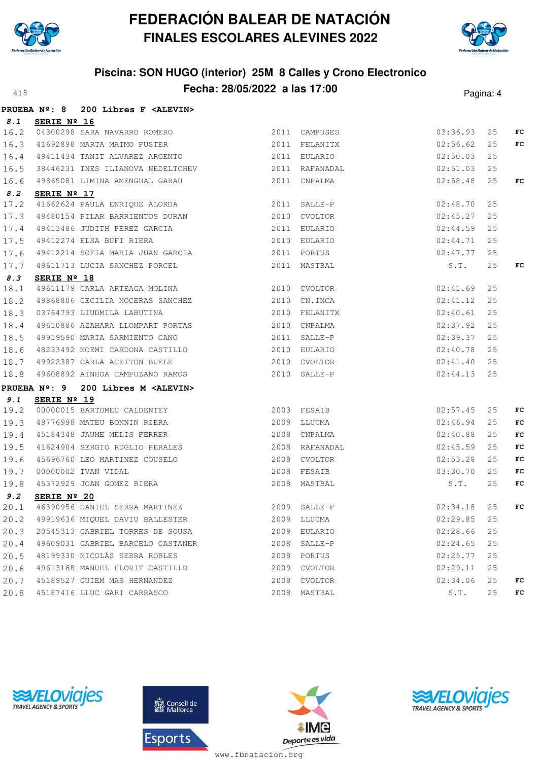



# **Piscina: SON HUGO (interior) 25M 8 Calles y Crono Electronico Fecha: 28/05/2022 a las 17:00**<sup>418</sup> Pagina: 4

|      |                      | PRUEBA Nº: 8 200 Libres F <alevin></alevin>                                                                                                                      |      |                                            |          |    |     |
|------|----------------------|------------------------------------------------------------------------------------------------------------------------------------------------------------------|------|--------------------------------------------|----------|----|-----|
| 8.1  | SERIE $N^{\circ}$ 16 |                                                                                                                                                                  |      |                                            |          |    |     |
|      |                      | 16.2 04300298 SARA NAVARRO ROMERO 2011 CAMPUSES 2011 COMPUSES 03:36.93                                                                                           |      |                                            |          | 25 | FC  |
|      |                      | 16.3 41692898 MARTA MAIMO FUSTER 2011 FELANITX 02:56.62                                                                                                          |      |                                            |          | 25 | FC  |
|      |                      | 16.4 49411434 TANIT ALVAREZ ARGENTO 2011 EULARIO                                                                                                                 |      |                                            | 02:50.03 | 25 |     |
| 16.5 |                      | 38446231 INES ILIANOVA NEDELTCHEV 2011 RAFANADAL                                                                                                                 |      |                                            | 02:51.03 | 25 |     |
|      |                      | 16.6 49865081 LIMINA AMENGUAL GARAU                                                                                                                              |      | 2011 CNPALMA 02:58.48                      |          | 25 | FC  |
| 8.2  | SERIE Nº 17          |                                                                                                                                                                  |      |                                            |          |    |     |
| 17.2 |                      | 41662624 PAULA ENRIQUE ALORDA 2011 SALLE-P 02:48.70                                                                                                              |      |                                            |          | 25 |     |
|      |                      | 17.3 49480154 PILAR BARRIENTOS DURAN 2010 CVOLTOR                                                                                                                |      |                                            | 02:45.27 | 25 |     |
| 17.4 |                      | 49413486 JUDITH PEREZ GARCIA<br>49412274 ELSA BUFI RIERA<br>4041001 :                                                                                            |      | 2011 EULARIO                               | 02:44.59 | 25 |     |
| 17.5 |                      |                                                                                                                                                                  |      | 2010 EULARIO 02:44.71                      |          | 25 |     |
|      |                      |                                                                                                                                                                  |      |                                            |          | 25 |     |
|      |                      | 17.5 49412274 ELSA BUFI RIERA<br>17.6 49412214 SOFIA MARIA JUAN GARCIA 2011 PORTUS (02:47.77 )<br>17.6 49412214 SOFIA MARIA JUAN GARCIA 2011 MASTBAL (1997) S.T. |      |                                            |          | 25 | FC  |
| 8.3  | SERIE Nº 18          |                                                                                                                                                                  |      |                                            |          |    |     |
| 18.1 |                      | 49611179 CARLA ARTEAGA MOLINA 2010 CVOLTOR 02:41.69                                                                                                              |      |                                            |          | 25 |     |
| 18.2 |                      | 49868806 CECILIA NOCERAS SANCHEZ 2010 CN.INCA                                                                                                                    |      | 02:41.12                                   |          | 25 |     |
| 18.3 |                      | 03764793 LIUDMILA LABUTINA                                                                                                                                       |      | 02:40.61<br>2010 FELANITX                  |          | 25 |     |
| 18.4 |                      | 49610886 AZAHARA LLOMPART PORTAS<br>49919590 MARIA SADMIDUGO CILIC                                                                                               |      | 2010 CNPALMA                               | 02:37.92 | 25 |     |
| 18.5 |                      | 49919590 MARIA SARMIENTO CANO 2011 SALLE-P                                                                                                                       |      | 02:39.37                                   |          | 25 |     |
| 18.6 |                      |                                                                                                                                                                  |      |                                            |          | 25 |     |
|      |                      | 18.7 49922387 CARLA ACEITON BUELE 2010 CVOLTOR                                                                                                                   |      | 02:41.40                                   |          | 25 |     |
|      |                      | 18.8 49608892 AINHOA CAMPUZANO RAMOS 2010 SALLE-P                                                                                                                |      |                                            | 02:44.13 | 25 |     |
|      |                      | PRUEBA Nº: 9 200 Libres M <alevin></alevin>                                                                                                                      |      |                                            |          |    |     |
| 9.1  | SERIE Nº 19          |                                                                                                                                                                  |      |                                            |          |    |     |
| 19.2 |                      |                                                                                                                                                                  |      |                                            |          | 25 | FC  |
|      |                      | 19.3 49776998 MATEU BONNIN RIERA<br>19.4 45184348 JAUME MELIS FERRER                                                                                             |      | 2009 LLUCMA                                | 02:46.94 | 25 | FC  |
|      |                      |                                                                                                                                                                  |      | $2008$ CNPALMA                             | 02:40.88 | 25 | FC  |
| 19.5 |                      | 41624904 SERGIO RUGLIO PERALES                                                                                                                                   |      | 2008 RAFANADAL 02:45.59                    |          | 25 | FC  |
| 19.6 |                      |                                                                                                                                                                  |      | 02:53.28<br>2008 CVOLTOR                   |          | 25 | FC  |
| 19.7 |                      |                                                                                                                                                                  |      | 2008 FESAIB<br>2008 MASTBAL<br>2008 FESAIB | 03:30.70 | 25 | FC. |
| 19.8 |                      | 45696760 LEO MARTINEZ COUSELO<br>00000002 IVAN VIDAL<br>45372929 JOAN GOMEZ RIERA                                                                                |      |                                            | S.T.     | 25 | FC  |
| 9.2  | SERIE Nº 20          |                                                                                                                                                                  |      |                                            |          |    |     |
| 20.1 |                      | <u>USANS A SU</u><br>46390956 DANIEL SERRA MARTINEZ (2009 SALLE-P                                                                                                |      | $02:34.18$ 25                              |          |    | FC  |
| 20.2 |                      | 49919636 MIQUEL DAVIU BALLESTER                                                                                                                                  |      | 2009 LLUCMA                                | 02:29.85 | 25 |     |
| 20.3 |                      | 20545313 GABRIEL TORRES DE SOUSA                                                                                                                                 |      | 2009 EULARIO                               | 02:28.66 | 25 |     |
| 20.4 |                      | 49609031 GABRIEL BARCELO CASTAÑER                                                                                                                                |      | 2008 SALLE-P                               | 02:24.65 | 25 |     |
| 20.5 |                      | 48199330 NICOLÁS SERRA ROBLES                                                                                                                                    |      | 2008 PORTUS                                | 02:25.77 | 25 |     |
| 20.6 |                      | 49613168 MANUEL FLORIT CASTILLO                                                                                                                                  |      | 2009 CVOLTOR                               | 02:29.11 | 25 |     |
| 20.7 |                      | 45189527 GUIEM MAS HERNANDEZ                                                                                                                                     | 2008 | CVOLTOR                                    | 02:34.06 | 25 | FC  |
| 20.8 |                      | 45187416 LLUC GARI CARRASCO                                                                                                                                      |      | 2008 MASTBAL                               | S.T.     | 25 | FC  |







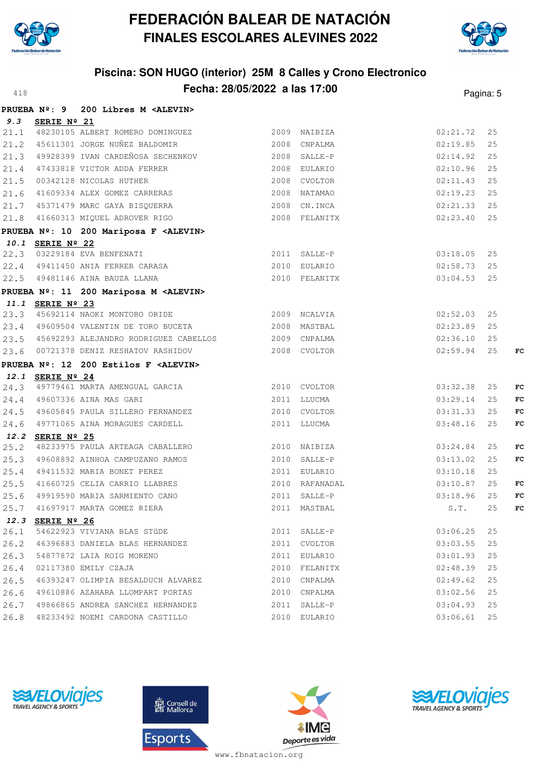



# **Piscina: SON HUGO (interior) 25M 8 Calles y Crono Electronico Fecha: 28/05/2022 a las 17:00**<sup>418</sup> Pagina: 5

|      |                      | PRUEBA Nº: 9 200 Libres M <alevin></alevin>                                                       |              |                |                    |    |    |
|------|----------------------|---------------------------------------------------------------------------------------------------|--------------|----------------|--------------------|----|----|
| 9.3  | SERIE $N^{\circ}$ 21 |                                                                                                   |              |                |                    |    |    |
|      |                      | 21.1 48230105 ALBERT ROMERO DOMINGUEZ 2009 NAIBIZA                                                |              |                | 02:21.72           | 25 |    |
|      |                      | 21.2 45611301 JORGE NUÑEZ BALDOMIR                                                                | 2008 CNPALMA |                | 02:19.85           | 25 |    |
|      |                      | 21.3 49928399 IVAN CARDEÑOSA SECHENKOV 2008 SALLE-P                                               |              |                | 02:14.92           | 25 |    |
|      |                      | 21.4 47433818 VICTOR ADDA FERRER 2008 EULARIO                                                     |              |                | 02:10.96           | 25 |    |
|      |                      |                                                                                                   |              | 2008 CVOLTOR   | 02:11.43           | 25 |    |
|      |                      | 21.5 00342128 NICOLAS HUTHER<br>21.6 41609334 ALEX GOMEZ CARRERAS<br>21.7 45371470 MARG 6111      |              | 2008 NATAMAO   | 02:19.23           | 25 |    |
|      |                      |                                                                                                   |              |                | 02:21.33 25        |    |    |
|      |                      | 21.7 45371479 MARC GAYA BISQUERRA 2008 CN.INCA<br>21.8 41660313 MIQUEL ADROVER RIGO 2008 FELANITX |              | 2008 FELANITX  | $02:23.40$ 25      |    |    |
|      |                      | PRUEBA Nº: 10 200 Mariposa F <alevin></alevin>                                                    |              |                |                    |    |    |
|      |                      |                                                                                                   |              |                |                    |    |    |
|      |                      |                                                                                                   |              |                | 03:18.05           | 25 |    |
|      |                      | $22.3$ 03229184 EVA BENFENATI 2011 SALLE-P<br>22.4 49411450 ANIA FERRER CARASA 2010 PHP           |              |                | 02:58.73           | 25 |    |
|      |                      |                                                                                                   |              |                | 03:04.53           | 25 |    |
|      |                      | PRUEBA Nº: 11 200 Mariposa M <alevin></alevin>                                                    |              |                |                    |    |    |
|      | 11.1 SERIE Nº 23     |                                                                                                   |              |                |                    |    |    |
|      |                      | 23.3 45692114 NAOKI MONTORO ORIDE                                                                 | 2009 NCALVIA |                | 02:52.03           | 25 |    |
|      |                      | 23.4 49609504 VALENTIN DE TORO BUCETA                                                             |              | 2008 MASTBAL   | 02:23.89           | 25 |    |
|      |                      | 23.5 45692293 ALEJANDRO RODRIGUEZ CABELLOS 2009 CNPALMA                                           |              |                | 02:36.10           | 25 |    |
|      |                      |                                                                                                   |              |                | 02:59.94           | 25 | FC |
|      |                      | PRUEBA Nº: 12 200 Estilos F <alevin></alevin>                                                     |              |                |                    |    |    |
|      | 12.1 SERIE Nº 24     |                                                                                                   |              |                |                    |    |    |
|      |                      | 24.3 49779461 MARTA AMENGUAL GARCIA 2010 CVOLTOR                                                  |              |                | 03:32.38           | 25 | FC |
|      |                      | 24.4 49607336 AINA MAS GARI                                                                       | 2011 LLUCMA  |                | 03:29.14           | 25 | FC |
|      |                      | 24.5 49605845 PAULA SILLERO FERNANDEZ 2010 CVOLTOR                                                |              |                | 03:31.33           | 25 | FC |
|      |                      | 24.6 49771065 AINA MORAGUES CARDELL                                                               |              | 2011 LLUCMA    | 03:48.16           | 25 | FC |
|      | 12.2 SERIE Nº 25     | 25.2 48233975 PAULA ARTEAGA CABALLERO 2010 NAIBIZA                                                |              |                | 03:24.84           | 25 | FC |
|      |                      | 25.3 49608892 AINHOA CAMPUZANO RAMOS 2010 SALLE-P                                                 |              |                | 03:13.02           | 25 | FC |
|      |                      | 25.4 49411532 MARIA BONET PEREZ                                                                   |              | 2011 EULARIO   | 03:10.18           | 25 |    |
|      |                      |                                                                                                   |              | 2010 RAFANADAL | 03:10.87           | 25 | FC |
|      |                      | 25.5 41660725 CELIA CARRIO LLABRES<br>25.6 49919590 MARIA SARMIENTO CANO                          |              | 2011 SALLE-P   | 03:18.96           | 25 | FC |
| 25.7 |                      | 41697917 MARTA GOMEZ RIERA                                                                        |              | 2011 MASTBAL   | $\texttt{S}$ . T . | 25 | FC |
|      | 12.3 SERIE Nº 26     |                                                                                                   |              |                |                    |    |    |
| 26.1 |                      | 54622923 VIVIANA BLAS STÜDE                                                                       |              | 2011 SALLE-P   | 03:06.25           | 25 |    |
| 26.2 |                      | 46396883 DANIELA BLAS HERNANDEZ                                                                   |              | 2011 CVOLTOR   | 03:03.55           | 25 |    |
| 26.3 |                      | 54877872 LAIA ROIG MORENO                                                                         |              | 2011 EULARIO   | 03:01.93           | 25 |    |
| 26.4 |                      | 02117380 EMILY CZAJA                                                                              |              | 2010 FELANITX  | 02:48.39           | 25 |    |
| 26.5 |                      | 46393247 OLIMPIA BESALDUCH ALVAREZ                                                                |              | 2010 CNPALMA   | 02:49.62           | 25 |    |
| 26.6 |                      | 49610886 AZAHARA LLOMPART PORTAS                                                                  |              | 2010 CNPALMA   | 03:02.56           | 25 |    |
| 26.7 |                      | 49866865 ANDREA SANCHEZ HERNANDEZ                                                                 |              | 2011 SALLE-P   | 03:04.93           | 25 |    |
| 26.8 |                      | 48233492 NOEMI CARDONA CASTILLO                                                                   |              | 2010 EULARIO   | 03:06.61           | 25 |    |







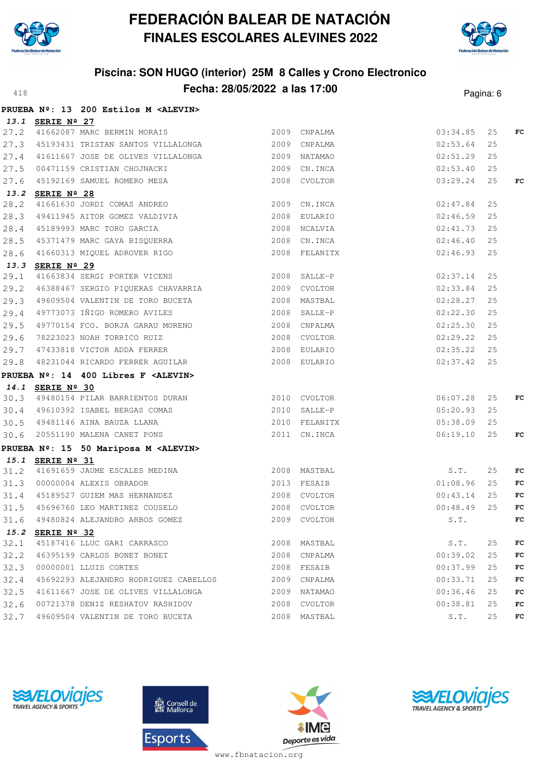



# **Piscina: SON HUGO (interior) 25M 8 Calles y Crono Electronico Fecha: 28/05/2022 a las 17:00**<sup>418</sup> Pagina: 6

|      |                  | PRUEBA Nº: 13 200 Estilos M <alevin></alevin>                                                    |               |                       |    |             |
|------|------------------|--------------------------------------------------------------------------------------------------|---------------|-----------------------|----|-------------|
|      | 13.1 SERIE Nº 27 |                                                                                                  |               |                       |    |             |
|      |                  | 27.2 41662087 MARC BERMIN MORAIS 2009 CNPALMA                                                    |               | 03:34.85              | 25 | $_{\rm FC}$ |
|      |                  | 27.3 45193431 TRISTAN SANTOS VILLALONGA 2009 CNPALMA                                             |               | 02:53.64              | 25 |             |
|      |                  |                                                                                                  |               | 02:51.29              | 25 |             |
|      |                  |                                                                                                  |               | 02:53.40              | 25 |             |
|      |                  | 27.5 00471159 CRISTIAN CHOJNACKI 2009 CN.INCA<br>27.6 45192169 SAMUEL ROMERO MESA 2008 CVOLTOR   |               | 03:29.24              | 25 | FC          |
|      | 13.2 SERIE Nº 28 |                                                                                                  |               |                       |    |             |
|      |                  | 28.2 41661630 JORDI COMAS ANDREO 2009 CN.INCA                                                    |               | 02:47.84              | 25 |             |
|      |                  | 28.3 49411945 AITOR GOMEZ VALDIVIA 2008 EULARIO                                                  |               | 02:46.59              | 25 |             |
|      |                  | 28.4 45189993 MARC TORO GARCIA<br>28.5 45371479 MARC GAYA BISQUERRA                              | 2008 NCALVIA  | 02:41.73              | 25 |             |
|      |                  |                                                                                                  |               | 2008 CN.INCA 02:46.40 | 25 |             |
|      |                  | 28.6 41660313 MIQUEL ADROVER RIGO                                                                | 2008 FELANITX | 02:46.93              | 25 |             |
|      | 13.3 SERIE Nº 29 |                                                                                                  |               |                       |    |             |
|      |                  | 29.1 41663834 SERGI PORTER VICENS 2008 SALLE-P                                                   |               | 02:37.14              | 25 |             |
|      |                  | 29.2 46388467 SERGIO PIQUERAS CHAVARRIA 2009 CVOLTOR                                             |               | 02:33.84              | 25 |             |
|      |                  |                                                                                                  |               | 02:28.27              | 25 |             |
|      |                  | 29.4 49773073 IÑIGO ROMERO AVILES                                                                | 2008 SALLE-P  | 02:22.30              | 25 |             |
|      |                  |                                                                                                  |               | 02:25.30              | 25 |             |
|      |                  |                                                                                                  |               | 02:29.22              | 25 |             |
|      |                  | 29.7 47433818 VICTOR ADDA FERRER 2008 EULARIO 2008 COLARE                                        |               |                       | 25 |             |
|      |                  | 29.8 48231044 RICARDO FERRER AGUILAR                                                             | 2008 EULARIO  | 02:37.42              | 25 |             |
|      |                  | PRUEBA Nº: 14 400 Libres F <alevin></alevin>                                                     |               |                       |    |             |
|      | 14.1 SERIE Nº 30 |                                                                                                  |               |                       |    |             |
|      |                  | 30.3 49480154 PILAR BARRIENTOS DURAN 2010 CVOLTOR                                                |               | 06:07.28              | 25 | FC          |
|      |                  | 30.4 49610392 ISABEL BERGAS COMAS 2010 SALLE-P                                                   |               | 05:20.93              | 25 |             |
|      |                  | 30.5 49481146 AINA BAUZA LLANA (2010) FELANITX<br>30.6 20551190 MALENA CANET PONS (2011) CN.INCA |               | 05:38.09              | 25 |             |
|      |                  |                                                                                                  |               | 06:19.10              | 25 | FC          |
|      |                  | PRUEBA Nº: 15 50 Mariposa M <alevin></alevin>                                                    |               |                       |    |             |
|      | 15.1 SERIE Nº 31 |                                                                                                  |               |                       |    |             |
|      |                  | 31.2 41691659 JAUME ESCALES MEDINA 2008 MASTBAL<br>31.3 00000004 ALEXIS OBRADOR 2013 FESAIB      |               | S.T.                  | 25 | FC.         |
|      |                  |                                                                                                  |               | 01:08.96              | 25 | FC          |
|      |                  | 31.4 45189527 GUIEM MAS HERNANDEZ 2008 CVOLTOR 2008 CVOLTOR 00:43.14                             |               |                       | 25 | FC          |
|      |                  | 31.5 45696760 LEO MARTINEZ COUSELO 2008 CVOLTOR                                                  |               | $00:48.49$ 25         |    | FC          |
|      |                  | 31.6 49480824 ALEJANDRO ARBOS GOMEZ                                                              | 2009 CVOLTOR  | S.T.                  |    | FC          |
|      | 15.2 SERIE Nº 32 |                                                                                                  |               |                       |    |             |
|      |                  | 32.1 45187416 LLUC GARI CARRASCO                                                                 | 2008 MASTBAL  | S.T.                  | 25 | FC          |
|      |                  | 32.2 46395199 CARLOS BONET BONET                                                                 | 2008 CNPALMA  | 00:39.02              | 25 | FC          |
| 32.3 |                  | 00000001 LLUIS CORTES                                                                            | 2008 FESAIB   | 00:37.99              | 25 | FC          |
| 32.4 |                  | 45692293 ALEJANDRO RODRIGUEZ CABELLOS                                                            | 2009 CNPALMA  | 00:33.71              | 25 | FC          |
| 32.5 |                  | 41611667 JOSE DE OLIVES VILLALONGA                                                               | 2009 NATAMAO  | 00:36.46              | 25 | FC          |
|      |                  |                                                                                                  |               | 00:38.81              | 25 | FC          |
|      |                  | 32.7 49609504 VALENTIN DE TORO BUCETA                                                            | 2008 MASTBAL  | S.T.                  | 25 | FC          |







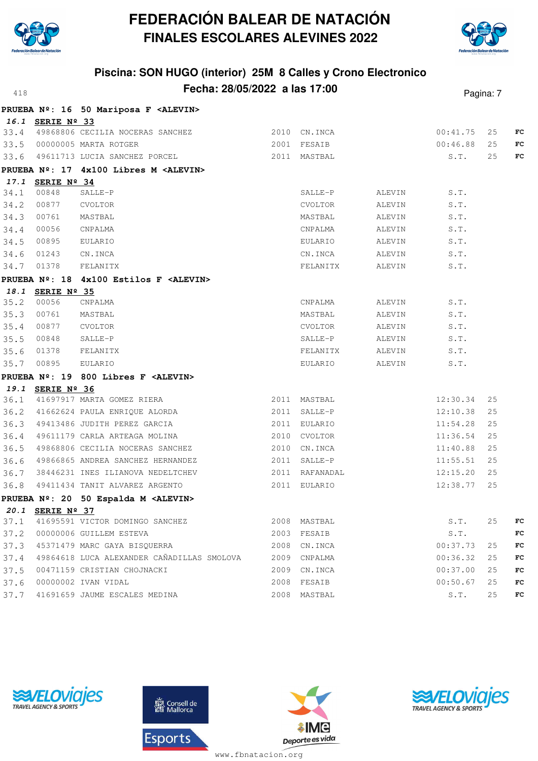



#### **Piscina: SON HUGO (interior) 25M 8 Calles y Crono Electronico Fecha: 28/05/2022 a las 17:00**<sup>418</sup> Pagina: 7

|      |                  |                                                 |                |        |          | . ugu u. <i>1</i> |    |
|------|------------------|-------------------------------------------------|----------------|--------|----------|-------------------|----|
|      |                  | PRUEBA Nº: 16 50 Mariposa F <alevin></alevin>   |                |        |          |                   |    |
|      | 16.1 SERIE Nº 33 |                                                 |                |        |          |                   |    |
|      |                  | 33.4 49868806 CECILIA NOCERAS SANCHEZ           | 2010 CN. INCA  |        | 00:41.75 | 25                | FC |
|      |                  | 33.5 00000005 MARTA ROTGER                      | 2001 FESAIB    |        | 00:46.88 | 25                | FC |
|      |                  | 33.6 49611713 LUCIA SANCHEZ PORCEL 2011 MASTBAL |                |        | S.T.     | 25                | FC |
|      |                  | PRUEBA Nº: 17 4x100 Libres M <alevin></alevin>  |                |        |          |                   |    |
|      | 17.1 SERIE Nº 34 |                                                 |                |        |          |                   |    |
| 34.1 | 00848            | SALLE-P                                         | SALLE-P        | ALEVIN | S.T.     |                   |    |
| 34.2 | 00877            | CVOLTOR                                         | CVOLTOR        | ALEVIN | S.T.     |                   |    |
| 34.3 | 00761            | MASTBAL                                         | MASTBAL        | ALEVIN | S.T.     |                   |    |
| 34.4 | 00056            | CNPALMA                                         | CNPALMA        | ALEVIN | S.T.     |                   |    |
| 34.5 | 00895            | EULARIO                                         | EULARIO        | ALEVIN | S.T.     |                   |    |
| 34.6 | 01243            | CN.INCA                                         | CN.INCA        | ALEVIN | S.T.     |                   |    |
|      | 34.7 01378       | FELANITX                                        | FELANITX       | ALEVIN | S.T.     |                   |    |
|      |                  | PRUEBA Nº: 18 4x100 Estilos F <alevin></alevin> |                |        |          |                   |    |
|      | 18.1 SERIE Nº 35 |                                                 |                |        |          |                   |    |
| 35.2 | 00056            | CNPALMA                                         | CNPALMA        | ALEVIN | S.T.     |                   |    |
| 35.3 | 00761            | MASTBAL                                         | MASTBAL        | ALEVIN | S.T.     |                   |    |
| 35.4 | 00877            | CVOLTOR                                         | CVOLTOR        | ALEVIN | S.T.     |                   |    |
| 35.5 | 00848            | SALLE-P                                         | $SALLE-P$      | ALEVIN | S.T.     |                   |    |
| 35.6 | 01378            | FELANITX                                        | FELANITX       | ALEVIN | S.T.     |                   |    |
| 35.7 | 00895            | EULARIO                                         | EULARIO        | ALEVIN | S.T.     |                   |    |
|      |                  | PRUEBA Nº: 19 800 Libres F <alevin></alevin>    |                |        |          |                   |    |
|      | 19.1 SERIE Nº 36 |                                                 |                |        |          |                   |    |
|      |                  | 36.1 41697917 MARTA GOMEZ RIERA                 | 2011 MASTBAL   |        | 12:30.34 | 25                |    |
|      |                  | 36.2 41662624 PAULA ENRIQUE ALORDA 2011 SALLE-P |                |        | 12:10.38 | 25                |    |
| 36.3 |                  | 49413486 JUDITH PEREZ GARCIA (2011 EULARIO      |                |        | 11:54.28 | 25                |    |
| 36.4 |                  | 49611179 CARLA ARTEAGA MOLINA                   | 2010 CVOLTOR   |        | 11:36.54 | 25                |    |
| 36.5 |                  | 49868806 CECILIA NOCERAS SANCHEZ                | 2010 CN.INCA   |        | 11:40.88 | 25                |    |
| 36.6 |                  | 49866865 ANDREA SANCHEZ HERNANDEZ               | 2011 SALLE-P   |        | 11:55.51 | 25                |    |
| 36.7 |                  | 38446231 INES ILIANOVA NEDELTCHEV               | 2011 RAFANADAL |        | 12:15.20 | 25                |    |
|      |                  | 36.8 49411434 TANIT ALVAREZ ARGENTO             | 2011 EULARIO   |        | 12:38.77 | 25                |    |
|      |                  | PRUEBA Nº: 20 50 Espalda M <alevin></alevin>    |                |        |          |                   |    |
|      | 20.1 SERIE Nº 37 |                                                 |                |        |          |                   |    |
| 37.1 |                  | 41695591 VICTOR DOMINGO SANCHEZ                 | 2008 MASTBAL   |        | S.T.     | 25                | FC |
| 37.2 |                  | 00000006 GUILLEM ESTEVA                         | 2003 FESAIB    |        | S.T.     |                   | FC |
| 37.3 |                  | 45371479 MARC GAYA BISQUERRA                    | 2008 CN.INCA   |        | 00:37.73 | 25                | FC |
| 37.4 |                  | 49864618 LUCA ALEXANDER CAÑADILLAS SMOLOVA      | 2009 CNPALMA   |        | 00:36.32 | 25                | FC |
| 37.5 |                  | 00471159 CRISTIAN CHOJNACKI                     | 2009 CN. INCA  |        | 00:37.00 | 25                | FC |
| 37.6 |                  | 00000002 IVAN VIDAL                             | 2008 FESAIB    |        | 00:50.67 | 25                | FC |
| 37.7 |                  | 41691659 JAUME ESCALES MEDINA                   | 2008 MASTBAL   |        | S.T.     | 25                | FC |







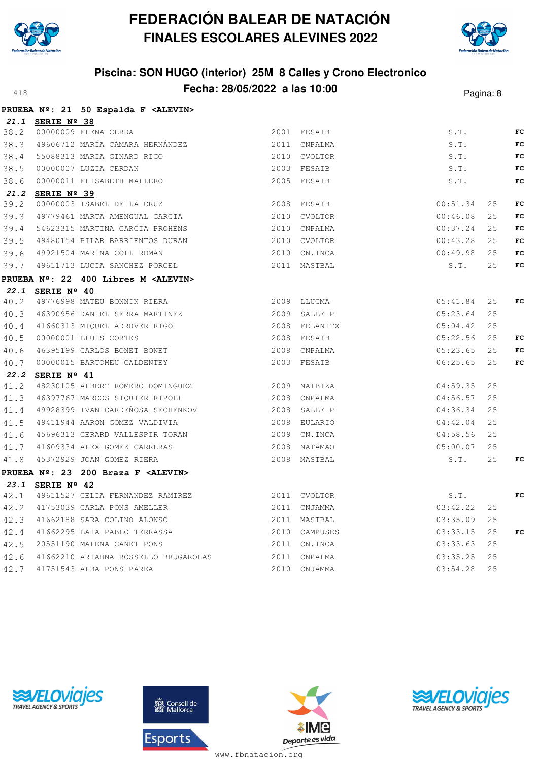



|      |                  | PRUEBA Nº: 21 50 Espalda F <alevin></alevin> |               |          |     |             |
|------|------------------|----------------------------------------------|---------------|----------|-----|-------------|
|      | 21.1 SERIE Nº 38 |                                              |               |          |     |             |
|      |                  | 38.2 00000009 ELENA CERDA                    | 2001 FESAIB   | S.T.     |     | FC          |
|      |                  | 38.3 49606712 MARÍA CÁMARA HERNÁNDEZ         | 2011 CNPALMA  | S.T.     |     | FC          |
|      |                  | 38.4 55088313 MARIA GINARD RIGO              | 2010 CVOLTOR  | S.T.     |     | $_{\rm FC}$ |
| 38.5 |                  | 00000007 LUZIA CERDAN                        | 2003 FESAIB   | S.T.     |     | FC          |
| 38.6 |                  | 00000011 ELISABETH MALLERO                   | 2005 FESAIB   | S.T.     |     | $_{\rm FC}$ |
|      | 21.2 SERIE Nº 39 |                                              |               |          |     |             |
| 39.2 |                  | 00000003 ISABEL DE LA CRUZ                   | 2008 FESAIB   | 00:51.34 | 25  | FC          |
|      |                  | 39.3 49779461 MARTA AMENGUAL GARCIA          | 2010 CVOLTOR  | 00:46.08 | 25  | FC          |
|      |                  | 39.4 54623315 MARTINA GARCIA PROHENS         | 2010 CNPALMA  | 00:37.24 | 25  | FC          |
| 39.5 |                  | 49480154 PILAR BARRIENTOS DURAN              | 2010 CVOLTOR  | 00:43.28 | 25  | FC          |
| 39.6 |                  | 49921504 MARINA COLL ROMAN                   | 2010 CN.INCA  | 00:49.98 | 25  | FC          |
|      |                  | 39.7 49611713 LUCIA SANCHEZ PORCEL           | 2011 MASTBAL  | S.T.     | 25  | FC          |
|      |                  | PRUEBA Nº: 22 400 Libres M <alevin></alevin> |               |          |     |             |
|      | 22.1 SERIE Nº 40 |                                              |               |          |     |             |
| 40.2 |                  | 49776998 MATEU BONNIN RIERA                  | 2009 LLUCMA   | 05:41.84 | 25  | FC          |
|      |                  | 40.3 46390956 DANIEL SERRA MARTINEZ          | 2009 SALLE-P  | 05:23.64 | 25  |             |
|      |                  | 40.4 41660313 MIQUEL ADROVER RIGO            | 2008 FELANITX | 05:04.42 | 25  |             |
| 40.5 |                  | 00000001 LLUIS CORTES                        | 2008 FESAIB   | 05:22.56 | 25  | FC          |
| 40.6 |                  | 46395199 CARLOS BONET BONET                  | 2008 CNPALMA  | 05:23.65 | 25  | FC          |
|      |                  | 40.7 00000015 BARTOMEU CALDENTEY             | 2003 FESAIB   | 06:25.65 | 2.5 | FC          |
|      | 22.2 SERIE Nº 41 |                                              |               |          |     |             |
|      |                  | 41.2 48230105 ALBERT ROMERO DOMINGUEZ        | 2009 NAIBIZA  | 04:59.35 | 25  |             |
|      |                  | 41.3 46397767 MARCOS SIQUIER RIPOLL          | 2008 CNPALMA  | 04:56.57 | 25  |             |
|      |                  | 41.4 49928399 IVAN CARDEÑOSA SECHENKOV       | 2008 SALLE-P  | 04:36.34 | 25  |             |
|      |                  | 41.5 49411944 AARON GOMEZ VALDIVIA           | 2008 EULARIO  | 04:42.04 | 25  |             |
| 41.6 |                  | 45696313 GERARD VALLESPIR TORAN              | 2009 CN. INCA | 04:58.56 | 25  |             |
|      |                  | 41.7 41609334 ALEX GOMEZ CARRERAS            | 2008 NATAMAO  | 05:00.07 | 25  |             |
|      |                  | 41.8 45372929 JOAN GOMEZ RIERA               | 2008 MASTBAL  | S.T.     | 25  | FC          |
|      |                  | PRUEBA Nº: 23 200 Braza F <alevin></alevin>  |               |          |     |             |
|      | 23.1 SERIE Nº 42 |                                              |               |          |     |             |
|      |                  | 42.1 49611527 CELIA FERNANDEZ RAMIREZ        | 2011 CVOLTOR  | S.T.     |     | FC          |
|      |                  | 42.2 41753039 CARLA PONS AMELLER             | 2011 CNJAMMA  | 03:42.22 | 25  |             |
|      |                  | 42.3 41662188 SARA COLINO ALONSO             | 2011 MASTBAL  | 03:35.09 | 25  |             |
| 42.4 |                  | 41662295 LAIA PABLO TERRASSA                 | 2010 CAMPUSES | 03:33.15 | 25  | FC          |
|      |                  | 42.5 20551190 MALENA CANET PONS              | 2011 CN.INCA  | 03:33.63 | 25  |             |
|      |                  | 42.6 41662210 ARIADNA ROSSELLO BRUGAROLAS    | 2011 CNPALMA  | 03:35.25 | 25  |             |
|      |                  | 42.7 41751543 ALBA PONS PAREA                | 2010 CNJAMMA  | 03:54.28 | 25  |             |
|      |                  |                                              |               |          |     |             |







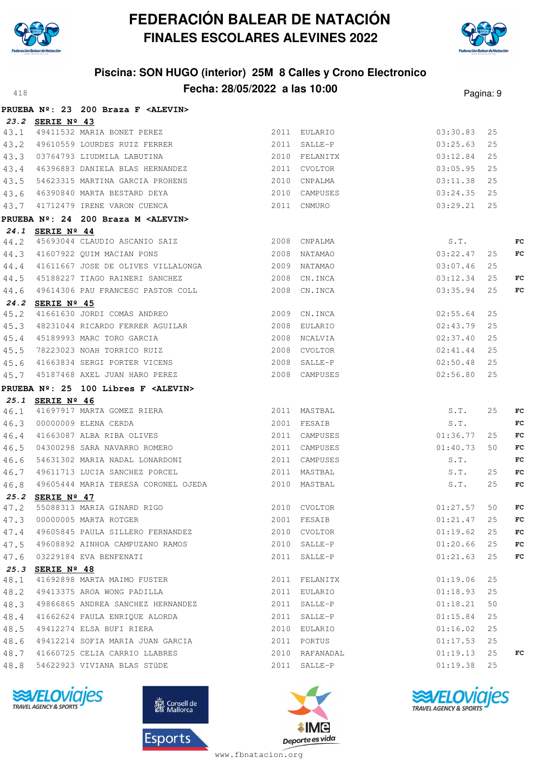



# **Piscina: SON HUGO (interior) 25M 8 Calles y Crono Electronico Fecha: 28/05/2022 a las 10:00**<sup>418</sup> Pagina: 9

|      |                  | PRUEBA Nº: 23 200 Braza F <alevin></alevin>                                                                                                              |                                    |             |    |    |
|------|------------------|----------------------------------------------------------------------------------------------------------------------------------------------------------|------------------------------------|-------------|----|----|
|      | 23.2 SERIE Nº 43 |                                                                                                                                                          |                                    |             |    |    |
|      |                  | 43.1 49411532 MARIA BONET PEREZ 2011 EULARIO                                                                                                             |                                    | 03:30.83    | 25 |    |
|      |                  | 43.2 49610559 LOURDES RUIZ FERRER                                                                                                                        | 2011 SALLE-P                       | 03:25.63    | 25 |    |
|      |                  | 43.3 03764793 LIUDMILA LABUTINA                                                                                                                          | 2010 FELANITX                      | 03:12.84    | 25 |    |
|      |                  | 43.4 46396883 DANIELA BLAS HERNANDEZ 2011 CVOLTOR                                                                                                        |                                    | 03:05.95    | 25 |    |
|      |                  | 43.5 54623315 MARTINA GARCIA PROHENS 2010 CNPALMA                                                                                                        |                                    | 03:11.38    | 25 |    |
|      |                  |                                                                                                                                                          |                                    | 03:24.35    | 25 |    |
|      |                  | 43.6 46390840 MARTA BESTARD DEYA (2010 CAMPUSES 43.7 41712479 IRENE VARON CUENCA (2011 CNMURO                                                            |                                    | 03:29.21    | 25 |    |
|      |                  | PRUEBA Nº: 24 200 Braza M <alevin></alevin>                                                                                                              |                                    |             |    |    |
|      | 24.1 SERIE Nº 44 |                                                                                                                                                          |                                    |             |    |    |
|      |                  | 44.2 45693044 CLAUDIO ASCANIO SAIZ 2008 CNPALMA                                                                                                          |                                    | S.T.        |    | FC |
|      |                  | 44.3 41607922 QUIM MACIAN PONS                                                                                                                           | $S.T.$<br>03:22.47<br>2008 NATAMAO |             | 25 | FC |
|      |                  | 44.4 41611667 JOSE DE OLIVES VILLALONGA 2009 NATAMAO                                                                                                     |                                    | 03:07.46    | 25 |    |
|      |                  | 44.5 45188227 TIAGO RAINERI SANCHEZ 2008 CN.INCA                                                                                                         |                                    | 03:12.34    | 25 | FC |
|      |                  | 44.6 49614306 PAU FRANCESC PASTOR COLL 2008 CN.INCA                                                                                                      |                                    | 03:35.94    | 25 | FC |
|      | 24.2 SERIE Nº 45 |                                                                                                                                                          |                                    |             |    |    |
| 45.2 |                  | 41661630 JORDI COMAS ANDREO 2009 CN.INCA                                                                                                                 |                                    | 02:55.64    | 25 |    |
|      |                  | 45.3 48231044 RICARDO FERRER AGUILAR 2008 EULARIO                                                                                                        |                                    | 02:43.79    | 25 |    |
|      |                  |                                                                                                                                                          |                                    | 02:37.40    | 25 |    |
|      |                  | 45.4 45189993 MARC TORO GARCIA (2008) NORLVIA<br>45.5 78223023 NOAH TORRICO RUIZ (2008) CVOLTOR<br>45.6 41663834 SERGI PORTER VICENS (2008) SALLE-P      |                                    | 02:41.44    | 25 |    |
|      |                  |                                                                                                                                                          |                                    | 02:50.48    | 25 |    |
|      |                  | 45.7 45187468 AXEL JUAN HARO PEREZ 2008 CAMPUSES                                                                                                         |                                    | 02:56.80    | 25 |    |
|      |                  | PRUEBA Nº: 25 100 Libres F <alevin></alevin>                                                                                                             |                                    |             |    |    |
|      | 25.1 SERIE Nº 46 |                                                                                                                                                          |                                    |             |    |    |
|      |                  |                                                                                                                                                          |                                    | S.T.        | 25 | FC |
|      |                  | 46.1 41697917 MARTA GOMEZ RIERA 2011 MASTBAL S.T.<br>46.3 00000009 ELENA CERDA 2001 FESAIB S.T.<br>46.4 41663087 ALBA RIBA OLIVES 2011 CAMPUSES 01:36.77 |                                    |             |    | FC |
|      |                  |                                                                                                                                                          |                                    |             | 25 | FC |
|      |                  | 46.5 04300298 SARA NAVARRO ROMERO                                                                                                                        | 2011 CAMPUSES                      | 01:40.73    | 50 | FC |
|      |                  | 46.6 54631302 MARIA NADAL LONARDONI                                                                                                                      | 2011 CAMPUSES                      | S.T.        |    | FC |
|      |                  | 46.7 49611713 LUCIA SANCHEZ PORCEL 2011 MASTBAL                                                                                                          |                                    | S.T.        | 25 | FC |
|      |                  |                                                                                                                                                          |                                    | S.T.        | 25 | FC |
|      | 25.2 SERIE Nº 47 |                                                                                                                                                          |                                    |             |    |    |
|      |                  | 47.2 55088313 MARIA GINARD RIGO 60 2010 CVOLTOR                                                                                                          | 01:27.57 50 $FC$                   |             |    |    |
|      |                  | 47.3 00000005 MARTA ROTGER                                                                                                                               | 2001 FESAIB                        | 01:21.47    | 25 | FC |
|      |                  | 47.4 49605845 PAULA SILLERO FERNANDEZ 2010 CVOLTOR                                                                                                       |                                    | 01:19.62    | 25 | FC |
|      |                  | 47.5 49608892 AINHOA CAMPUZANO RAMOS 2010 SALLE-P                                                                                                        |                                    | 01:20.66    | 25 | FC |
|      |                  | 47.6 03229184 EVA BENFENATI                                                                                                                              | 2011 SALLE-P                       | 01:21.63 25 |    | FC |
|      | 25.3 SERIE Nº 48 |                                                                                                                                                          |                                    |             |    |    |
| 48.1 |                  | 41692898 MARTA MAIMO FUSTER                                                                                                                              | 2011 FELANITX                      | 01:19.06    | 25 |    |
|      |                  | 48.2 49413375 AROA WONG PADILLA                                                                                                                          | 2011 EULARIO                       | 01:18.93    | 25 |    |
|      |                  | 48.3 49866865 ANDREA SANCHEZ HERNANDEZ 2011 SALLE-P                                                                                                      |                                    | 01:18.21    | 50 |    |
|      |                  | 48.4 41662624 PAULA ENRIQUE ALORDA                                                                                                                       | 2011 SALLE-P                       | 01:15.84    | 25 |    |
|      |                  | 48.5 49412274 ELSA BUFI RIERA                                                                                                                            | 2010 EULARIO                       | 01:16.02    | 25 |    |
|      |                  | 48.6 49412214 SOFIA MARIA JUAN GARCIA 2011 PORTUS                                                                                                        |                                    | 01:17.53    | 25 |    |
|      |                  | 2010 RAFANADAL<br>48.7 41660725 CELIA CARRIO LLABRES                                                                                                     |                                    | 01:19.13    | 25 | FC |
|      |                  | 48.8 54622923 VIVIANA BLAS STÜDE                                                                                                                         | 2011 SALLE-P                       | 01:19.38 25 |    |    |
|      |                  |                                                                                                                                                          |                                    |             |    |    |







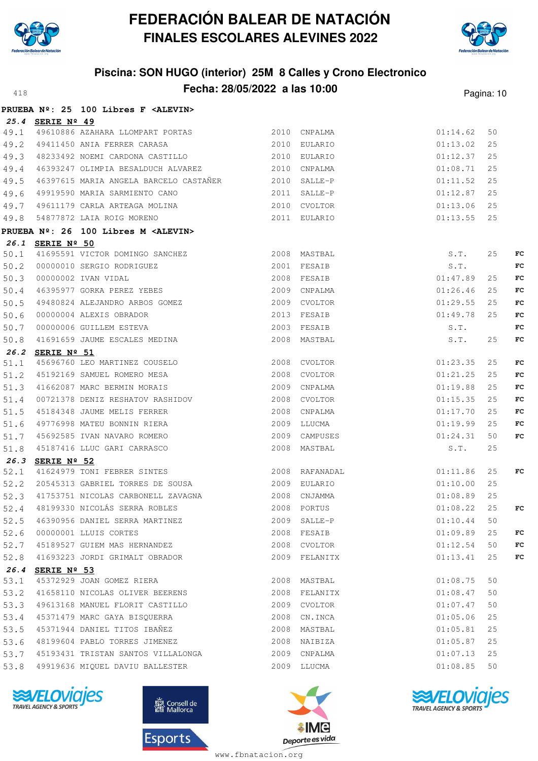



# **Piscina: SON HUGO (interior) 25M 8 Calles y Crono Electronico Fecha: 28/05/2022 a las 10:00**<sup>418</sup> Pagina: 10

|      |                  | PRUEBA Nº: 25 100 Libres F <alevin></alevin>                                                                                                                                                                      |                           |          |    |    |
|------|------------------|-------------------------------------------------------------------------------------------------------------------------------------------------------------------------------------------------------------------|---------------------------|----------|----|----|
|      | 25.4 SERIE Nº 49 |                                                                                                                                                                                                                   |                           |          |    |    |
| 49.1 |                  |                                                                                                                                                                                                                   |                           | 01:14.62 | 50 |    |
| 49.2 |                  | 2010 EULARIO<br>49411450 ANIA FERRER CARASA                                                                                                                                                                       |                           | 01:13.02 | 25 |    |
|      |                  | 49.3 48233492 NOEMI CARDONA CASTILLO 2010 EULARIO                                                                                                                                                                 |                           | 01:12.37 | 25 |    |
| 49.4 |                  | 46393247 OLIMPIA BESALDUCH ALVAREZ 2010 CNPALMA                                                                                                                                                                   |                           | 01:08.71 | 25 |    |
| 49.5 |                  | 46397615 MARIA ANGELA BARCELO CASTAÑER 2010 SALLE-P                                                                                                                                                               |                           | 01:11.52 | 25 |    |
| 49.6 |                  |                                                                                                                                                                                                                   |                           | 01:12.87 | 25 |    |
| 49.7 |                  |                                                                                                                                                                                                                   |                           | 01:13.06 | 25 |    |
| 49.8 |                  |                                                                                                                                                                                                                   |                           | 01:13.55 | 25 |    |
|      |                  | PRUEBA Nº: 26 100 Libres M <alevin></alevin>                                                                                                                                                                      |                           |          |    |    |
|      | 26.1 SERIE Nº 50 |                                                                                                                                                                                                                   |                           |          |    |    |
|      |                  |                                                                                                                                                                                                                   |                           | S.T.     | 25 | FC |
|      |                  |                                                                                                                                                                                                                   |                           | S.T.     |    | FC |
|      |                  | <b>EXECUTE AND MASTERS</b><br>50.1 41695591 VICTOR DOMINGO SANCHEZ<br>50.2 00000010 SERGIO RODRIGUEZ<br>50.3 00000002 IVAN VIDAL<br>50.4 46395977 GORKA PEREZ YEBES<br>2008 FESAIB<br>2008 FESAIB<br>2009 CNPALMA | 01:47.89                  |          | 25 | FC |
|      |                  |                                                                                                                                                                                                                   | 2009 CNPALMA              | 01:26.46 | 25 | FC |
| 50.5 |                  | 49480824 ALEJANDRO ARBOS GOMEZ 600000004 ALEXIS OBRADOR 600000004 ALEXIS OBRADOR 600000006 CVOLTOR                                                                                                                | 2009 CVOLTOR              | 01:29.55 | 25 | FC |
| 50.6 |                  |                                                                                                                                                                                                                   | 01:49.78                  |          | 25 | FC |
| 50.7 |                  |                                                                                                                                                                                                                   |                           | S.T.     |    | FC |
| 50.8 |                  | 41691659 JAUME ESCALES MEDINA 2008 MASTBAL                                                                                                                                                                        |                           | S.T.     | 25 | FC |
|      | 26.2 SERIE Nº 51 |                                                                                                                                                                                                                   |                           |          |    |    |
| 51.1 |                  | 2008 CVOLTOR<br>45696760 LEO MARTINEZ COUSELO<br>45192169 SAMUEL ROMERO MESA 2008 CVOLTOR                                                                                                                         |                           | 01:23.35 | 25 | FC |
| 51.2 |                  |                                                                                                                                                                                                                   |                           | 01:21.25 | 25 | FC |
| 51.3 |                  | 41662087 MARC BERMIN MORAIS                                                                                                                                                                                       | 2009 CNPALMA              | 01:19.88 | 25 | FC |
| 51.4 |                  | 00721378 DENIZ RESHATOV RASHIDOV<br>45184348 JAUME MELIS FERRER<br>49776998 MATEU BONNIN RIERA                                                                                                                    | 2008 CVOLTOR              | 01:15.35 | 25 | FC |
| 51.5 |                  |                                                                                                                                                                                                                   | 2008 CNPALMA              | 01:17.70 | 25 | FC |
| 51.6 |                  |                                                                                                                                                                                                                   | 2009 LLUCMA               | 01:19.99 | 25 | FC |
| 51.7 |                  | 45692585 IVAN NAVARO ROMERO                                                                                                                                                                                       | 01:24.31<br>2009 CAMPUSES |          | 50 | FC |
| 51.8 |                  | 45187416 LLUC GARI CARRASCO                                                                                                                                                                                       | 2008 MASTBAL              | S.T.     | 25 |    |
|      | 26.3 SERIE Nº 52 |                                                                                                                                                                                                                   |                           |          |    |    |
| 52.1 |                  | 41624979 TONI FEBRER SINTES 2008 RAFANADAL                                                                                                                                                                        |                           | 01:11.86 | 25 | FC |
|      |                  | 52.2 20545313 GABRIEL TORRES DE SOUSA 62.009 EULARIO                                                                                                                                                              |                           | 01:10.00 | 25 |    |
|      |                  | 52.3 41753751 NICOLAS CARBONELL ZAVAGNA 62008 CNJAMMA                                                                                                                                                             |                           | 01:08.89 | 25 |    |
|      |                  | 52.4 48199330 NICOLÁS SERRA ROBLES 2008 PORTUS 2008 PORTUS 01:08.22 25                                                                                                                                            |                           |          |    | FC |
|      |                  | 52.5 46390956 DANIEL SERRA MARTINEZ                                                                                                                                                                               | 2009 SALLE-P              | 01:10.44 | 50 |    |
|      |                  | 52.6 00000001 LLUIS CORTES                                                                                                                                                                                        | 2008 FESAIB               | 01:09.89 | 25 | FC |
|      |                  | 52.7 45189527 GUIEM MAS HERNANDEZ                                                                                                                                                                                 | 2008 CVOLTOR              | 01:12.54 | 50 | FC |
|      |                  | 52.8 41693223 JORDI GRIMALT OBRADOR                                                                                                                                                                               | 2009 FELANITX             | 01:13.41 | 25 | FC |
|      | 26.4 SERIE Nº 53 |                                                                                                                                                                                                                   |                           |          |    |    |
| 53.1 |                  | 45372929 JOAN GOMEZ RIERA                                                                                                                                                                                         | 2008 MASTBAL              | 01:08.75 | 50 |    |
|      |                  | 53.2 41658110 NICOLAS OLIVER BEERENS                                                                                                                                                                              | 2008 FELANITX             | 01:08.47 | 50 |    |
|      |                  | 53.3 49613168 MANUEL FLORIT CASTILLO 2009 CVOLTOR                                                                                                                                                                 |                           | 01:07.47 | 50 |    |
|      |                  | 53.4 45371479 MARC GAYA BISQUERRA                                                                                                                                                                                 | 2008 CN.INCA              | 01:05.06 | 25 |    |
|      |                  | 53.5 45371944 DANIEL TITOS IBAÑEZ                                                                                                                                                                                 | 2008 MASTBAL              | 01:05.81 | 25 |    |
|      |                  | 53.6 48199604 PABLO TORRES JIMENEZ 61 2008 NAIBIZA                                                                                                                                                                |                           | 01:05.87 | 25 |    |
|      |                  |                                                                                                                                                                                                                   |                           | 01:07.13 | 25 |    |
|      |                  | 53.8 49919636 MIQUEL DAVIU BALLESTER                                                                                                                                                                              | 2009 LLUCMA               | 01:08.85 | 50 |    |
|      |                  |                                                                                                                                                                                                                   |                           |          |    |    |







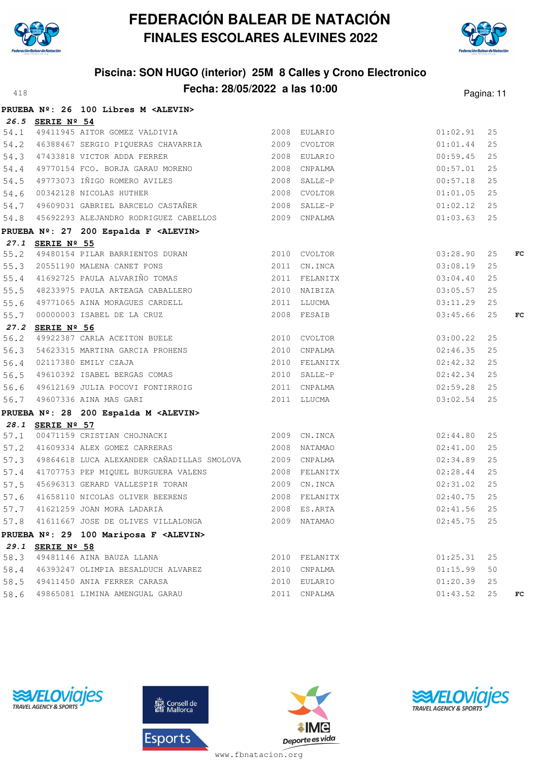



# **Piscina: SON HUGO (interior) 25M 8 Calles y Crono Electronico Fecha: 28/05/2022 a las 10:00**<sup>418</sup> Pagina: 11

|                  | PRUEBA Nº: 26 100 Libres M <alevin></alevin>                                                                                                   |               |               |    |    |
|------------------|------------------------------------------------------------------------------------------------------------------------------------------------|---------------|---------------|----|----|
| 26.5 SERIE Nº 54 |                                                                                                                                                |               |               |    |    |
|                  | $\frac{26.5}{54.1}$ $\frac{54 \text{KLE}}{49411945}$ AITOR GOMEZ VALDIVIA 2008 EULARIO                                                         |               | 01:02.91      | 25 |    |
|                  |                                                                                                                                                |               | 01:01.44      | 25 |    |
|                  |                                                                                                                                                |               | $00:59.45$ 25 |    |    |
|                  | 54.2 46388467 SERGIO PIQUERAS CHAVARRIA (2009 CVOLTOR 54.3 47433818 VICTOR ADDA FERRER (2008 EULARIO 2008 COMPALMA                             |               | $00:57.01$ 25 |    |    |
|                  | 54.5 49773073 IÑIGO ROMERO AVILES 2008 SALLE-P                                                                                                 |               | 00:57.18      | 25 |    |
|                  | 54.6 00342128 NICOLAS HUTHER<br>54.7 49609031 GABRIEL BARCELO CASTAÑER 62008 SALLE-P                                                           |               | 01:01.05      | 25 |    |
|                  |                                                                                                                                                |               | $01:02.12$ 25 |    |    |
|                  | 54.8 45692293 ALEJANDRO RODRIGUEZ CABELLOS 2009 CNPALMA                                                                                        |               | $01:03.63$ 25 |    |    |
|                  | PRUEBA Nº: 27 200 Espalda F <alevin></alevin>                                                                                                  |               |               |    |    |
| 27.1 SERIE Nº 55 |                                                                                                                                                |               |               |    |    |
|                  |                                                                                                                                                |               | 03:28.90      | 25 | FC |
|                  | 2010 CVOLTOR<br>55.2 49480154 PILAR BARRIENTOS DURAN<br>55.3 20551190 MALENA CANET PONS<br>55.4 41692725 PAULA ALVARIÑO TOMAS 2011 FELANITX    |               | 03:08.19      | 25 |    |
|                  |                                                                                                                                                |               | 03:04.40      | 25 |    |
|                  | 55.5 48233975 PAULA ARTEAGA CABALLERO 6 2010 NAIBIZA                                                                                           |               | 03:05.57      | 25 |    |
|                  |                                                                                                                                                |               | 03:11.29      | 25 |    |
|                  | 55.6 49771065 AINA MORAGUES CARDELL 2011 LLUCMA<br>55.7 00000003 ISABEL DE LA CRUZ 2008 FESAIB                                                 |               | 03:45.66      | 25 | FC |
| 27.2 SERIE Nº 56 |                                                                                                                                                |               |               |    |    |
|                  | 56.2 49922387 CARLA ACEITON BUELE 2010 CVOLTOR                                                                                                 |               | 03:00.22      | 25 |    |
|                  |                                                                                                                                                |               | 02:46.35      | 25 |    |
|                  |                                                                                                                                                |               | 02:42.32      | 25 |    |
|                  | 56.3 54623315 MARTINA GARCIA PROHENS 2010 CNPALMA<br>56.4 02117380 EMILY CZAJA 2010 FELANITX<br>56.5 49610392 ISABEL BERGAS COMAS 2010 SALLE-P |               | 02:42.34      | 25 |    |
|                  |                                                                                                                                                |               | 02:59.28      | 25 |    |
|                  |                                                                                                                                                |               | 03:02.54      | 25 |    |
|                  | PRUEBA Nº: 28 200 Espalda M <alevin></alevin>                                                                                                  |               |               |    |    |
| 28.1 SERIE Nº 57 |                                                                                                                                                |               |               |    |    |
|                  | 28.1 SERIE Nº 57<br>57.1 00471159 CRISTIAN CHOJNACKI 2009 CN.INCA 2009 CN.INCA 2009 CN.INCA                                                    |               |               | 25 |    |
|                  | 57.2 41609334 ALEX GOMEZ CARRERAS 2008 NATAMAO                                                                                                 |               | 02:41.00      | 25 |    |
|                  | 57.3 49864618 LUCA ALEXANDER CAÑADILLAS SMOLOVA 2009 CNPALMA                                                                                   |               | $02:34.89$ 25 |    |    |
|                  | 57.4 41707753 PEP MIQUEL BURGUERA VALENS 2008 FELANITX                                                                                         |               | $02:28.44$ 25 |    |    |
|                  | 57.5 45696313 GERARD VALLESPIR TORAN 2009 CN.INCA                                                                                              |               | 02:31.02      | 25 |    |
|                  | 57.6 41658110 NICOLAS OLIVER BEERENS 2008 FELANITX 02:40.75 25<br>57.7 41621259 JOAN MORA LADARIA 2008 ES.ARTA 2008 ES.ARTA 02:41.56 25        |               |               |    |    |
|                  |                                                                                                                                                |               |               |    |    |
|                  | 57.8 41611667 JOSE DE OLIVES VILLALONGA                                                                                                        | 2009 NATAMAO  | 02:45.75      | 25 |    |
|                  | PRUEBA Nº: 29 100 Mariposa F <alevin></alevin>                                                                                                 |               |               |    |    |
| 29.1 SERIE Nº 58 |                                                                                                                                                |               |               |    |    |
|                  | 58.3 49481146 AINA BAUZA LLANA                                                                                                                 | 2010 FELANITX | 01:25.31      | 25 |    |
|                  | 58.4 46393247 OLIMPIA BESALDUCH ALVAREZ                                                                                                        | 2010 CNPALMA  | 01:15.99      | 50 |    |
|                  | 58.5 49411450 ANIA FERRER CARASA                                                                                                               | 2010 EULARIO  | 01:20.39      | 25 |    |
|                  | 58.6 49865081 LIMINA AMENGUAL GARAU                                                                                                            | 2011 CNPALMA  | 01:43.52      | 25 | FC |







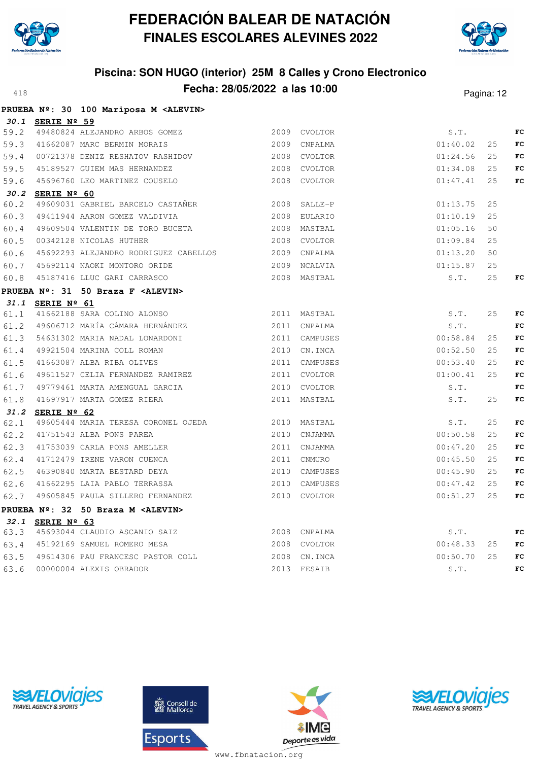



|      |                  | PRUEBA Nº: 30 100 Mariposa M <alevin></alevin> |               |          |    |             |
|------|------------------|------------------------------------------------|---------------|----------|----|-------------|
|      | 30.1 SERIE Nº 59 |                                                |               |          |    |             |
| 59.2 |                  | 49480824 ALEJANDRO ARBOS GOMEZ                 | 2009 CVOLTOR  | S.T.     |    | FC          |
|      |                  | 59.3 41662087 MARC BERMIN MORAIS               | 2009 CNPALMA  | 01:40.02 | 25 | FC          |
| 59.4 |                  | 00721378 DENIZ RESHATOV RASHIDOV               | 2008 CVOLTOR  | 01:24.56 | 25 | FC          |
| 59.5 |                  | 45189527 GUIEM MAS HERNANDEZ                   | 2008 CVOLTOR  | 01:34.08 | 25 | FC          |
|      |                  | 59.6 45696760 LEO MARTINEZ COUSELO             | 2008 CVOLTOR  | 01:47.41 | 25 | FC          |
|      | 30.2 SERIE Nº 60 |                                                |               |          |    |             |
| 60.2 |                  | 49609031 GABRIEL BARCELO CASTAÑER              | 2008 SALLE-P  | 01:13.75 | 25 |             |
| 60.3 |                  | 49411944 AARON GOMEZ VALDIVIA                  | 2008 EULARIO  | 01:10.19 | 25 |             |
| 60.4 |                  | 49609504 VALENTIN DE TORO BUCETA               | 2008 MASTBAL  | 01:05.16 | 50 |             |
| 60.5 |                  | 00342128 NICOLAS HUTHER                        | 2008 CVOLTOR  | 01:09.84 | 25 |             |
| 60.6 |                  | 45692293 ALEJANDRO RODRIGUEZ CABELLOS          | 2009 CNPALMA  | 01:13.20 | 50 |             |
| 60.7 |                  | 45692114 NAOKI MONTORO ORIDE                   | 2009 NCALVIA  | 01:15.87 | 25 |             |
| 60.8 |                  | 45187416 LLUC GARI CARRASCO                    | 2008 MASTBAL  | S.T.     | 25 | FC          |
|      |                  | PRUEBA Nº: 31 50 Braza F <alevin></alevin>     |               |          |    |             |
|      | 31.1 SERIE Nº 61 |                                                |               |          |    |             |
| 61.1 |                  | 41662188 SARA COLINO ALONSO                    | 2011 MASTBAL  | S.T.     | 25 | FC          |
| 61.2 |                  | 49606712 MARÍA CÁMARA HERNÁNDEZ                | 2011 CNPALMA  | S.T.     |    | FC          |
| 61.3 |                  | 54631302 MARIA NADAL LONARDONI                 | 2011 CAMPUSES | 00:58.84 | 25 | FC          |
| 61.4 |                  | 49921504 MARINA COLL ROMAN                     | 2010 CN. INCA | 00:52.50 | 25 | $_{\rm FC}$ |
| 61.5 |                  | 41663087 ALBA RIBA OLIVES                      | 2011 CAMPUSES | 00:53.40 | 25 | FC          |
| 61.6 |                  | 49611527 CELIA FERNANDEZ RAMIREZ               | 2011 CVOLTOR  | 01:00.41 | 25 | FC          |
| 61.7 |                  | 49779461 MARTA AMENGUAL GARCIA                 | 2010 CVOLTOR  | S.T.     |    | FC          |
| 61.8 |                  | 41697917 MARTA GOMEZ RIERA                     | 2011 MASTBAL  | S.T.     | 25 | FC          |
|      | 31.2 SERIE Nº 62 |                                                |               |          |    |             |
| 62.1 |                  | 49605444 MARIA TERESA CORONEL OJEDA            | 2010 MASTBAL  | S.T.     | 25 | $_{\rm FC}$ |
| 62.2 |                  | 41751543 ALBA PONS PAREA                       | 2010 CNJAMMA  | 00:50.58 | 25 | FC          |
| 62.3 |                  | 41753039 CARLA PONS AMELLER                    | 2011 CNJAMMA  | 00:47.20 | 25 | FC          |
| 62.4 |                  | 41712479 IRENE VARON CUENCA                    | 2011 CNMURO   | 00:45.50 | 25 | FC          |
| 62.5 |                  | 46390840 MARTA BESTARD DEYA                    | 2010 CAMPUSES | 00:45.90 | 25 | FC          |
| 62.6 |                  | 41662295 LAIA PABLO TERRASSA                   | 2010 CAMPUSES | 00:47.42 | 25 | FC          |
|      |                  | 62.7 49605845 PAULA SILLERO FERNANDEZ          | 2010 CVOLTOR  | 00:51.27 | 25 | FC          |
|      |                  | PRUEBA Nº: 32 50 Braza M <alevin></alevin>     |               |          |    |             |
|      | 32.1 SERIE Nº 63 |                                                |               |          |    |             |
|      |                  | 63.3 45693044 CLAUDIO ASCANIO SAIZ             | 2008 CNPALMA  | S.T.     |    | FC          |
|      |                  | 63.4 45192169 SAMUEL ROMERO MESA               | 2008 CVOLTOR  | 00:48.33 | 25 | FC          |
| 63.5 |                  | 49614306 PAU FRANCESC PASTOR COLL              | 2008 CN.INCA  | 00:50.70 | 25 | FC          |
| 63.6 |                  | 00000004 ALEXIS OBRADOR                        | 2013 FESAIB   | S.T.     |    | FC          |





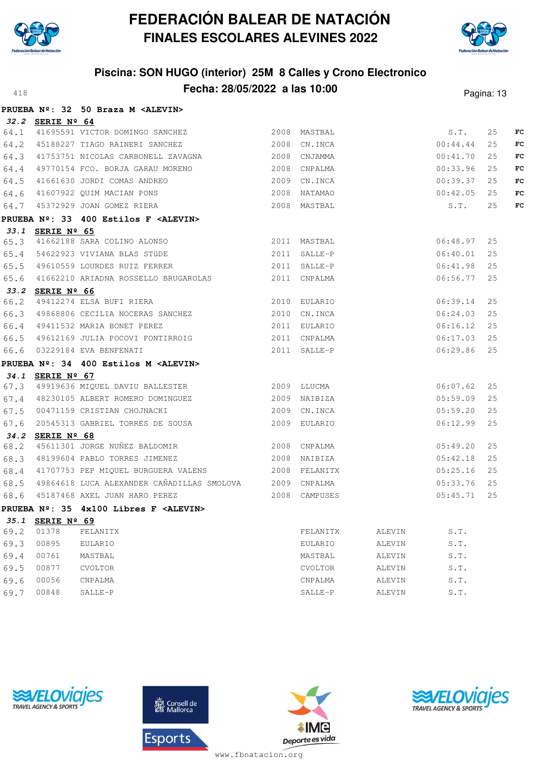



|      |                  | PRUEBA Nº: 32 50 Braza M <alevin></alevin>                                                                                                                           |                |        |          |    |    |
|------|------------------|----------------------------------------------------------------------------------------------------------------------------------------------------------------------|----------------|--------|----------|----|----|
|      | 32.2 SERIE Nº 64 |                                                                                                                                                                      |                |        |          |    |    |
|      |                  | 32.2 <u>SERIE N = 04</u><br>64.1 41695591 VICTOR DOMINGO SANCHEZ 2008 MASTBAL 2008 MASTBAL S.T.<br>64 2 45188227 TIAGO RAINERI SANCHEZ 2008 CN.INCA 2008 CO.44.44    |                |        |          | 25 | FC |
|      |                  |                                                                                                                                                                      |                |        |          | 25 | FC |
|      |                  | 64.3 41753751 NICOLAS CARBONELL ZAVAGNA 2008 CNJAMMA                                                                                                                 |                |        | 00:41.70 | 25 | FC |
|      |                  | 64.4 49770154 FCO. BORJA GARAU MORENO 2008 CNPALMA                                                                                                                   |                |        | 00:33.96 | 25 | FC |
|      |                  | 64.5 41661630 JORDI COMAS ANDREO 2009 CN.INCA                                                                                                                        |                |        | 00:39.37 | 25 | FC |
|      |                  |                                                                                                                                                                      |                |        | 00:42.05 | 25 | FC |
|      |                  | 84.3 11001000 00121 00122<br>64.6 11607922 QUIM MACIAN PONS<br>64.7 15372929 JOAN GOMEZ RIERA<br>2008 MASTBAL                                                        |                |        | S.T.     | 25 | FC |
|      |                  | PRUEBA Nº: 33 400 Estilos F <alevin></alevin>                                                                                                                        |                |        |          |    |    |
|      | 33.1 SERIE Nº 65 |                                                                                                                                                                      |                |        |          |    |    |
|      |                  |                                                                                                                                                                      |                |        | 06:48.97 | 25 |    |
|      |                  | 33.1 SERIE Nº 65<br>65.3 41662188 SARA COLINO ALONSO 2011 MASTBAL<br>65.4 54622923 VIVIANA BLAS STÜDE 2011 SALLE-P<br>65.5 49610559 LOURDES RUIZ FERRER 2011 SALLE-P |                |        | 06:40.01 | 25 |    |
|      |                  |                                                                                                                                                                      |                |        | 06:41.98 | 25 |    |
|      |                  | 65.6 41662210 ARIADNA ROSSELLO BRUGAROLAS 2011 CNPALMA                                                                                                               |                |        | 06:56.77 | 25 |    |
|      | 33.2 SERIE Nº 66 |                                                                                                                                                                      |                |        |          |    |    |
|      |                  | 66.2 49412274 ELSA BUFI RIERA 2010 EULARIO                                                                                                                           |                |        | 06:39.14 | 25 |    |
|      |                  | 66.3 49868806 CECILIA NOCERAS SANCHEZ (2010 CN.INCA)<br>66.4 49411532 MARIA BONET PEREZ (2011 EULARIO                                                                |                |        | 06:24.03 | 25 |    |
|      |                  |                                                                                                                                                                      |                |        | 06:16.12 | 25 |    |
|      |                  | 66.5 49612169 JULIA POCOVI FONTIRROIG 2011 CNPALMA                                                                                                                   |                |        | 06:17.03 | 25 |    |
|      |                  | 66.6 03229184 EVA BENFENATI 2011 SALLE-P                                                                                                                             |                |        | 06:29.86 | 25 |    |
|      |                  | PRUEBA Nº: 34 400 Estilos M <alevin></alevin>                                                                                                                        |                |        |          |    |    |
|      | 34.1 SERIE Nº 67 |                                                                                                                                                                      |                |        |          |    |    |
|      |                  | 67.3 49919636 MIQUEL DAVIU BALLESTER 2009 LLUCMA                                                                                                                     |                |        | 06:07.62 | 25 |    |
|      |                  | 67.4 48230105 ALBERT ROMERO DOMINGUEZ 67.4 2009 NAIBIZA                                                                                                              |                |        | 05:59.09 | 25 |    |
|      |                  | 67.5 00471159 CRISTIAN CHOJNACKI 2009 CN.INCA                                                                                                                        |                |        | 05:59.20 | 25 |    |
|      |                  | 67.6 20545313 GABRIEL TORRES DE SOUSA 2009 EULARIO                                                                                                                   |                |        | 06:12.99 | 25 |    |
|      | 34.2 SERIE Nº 68 |                                                                                                                                                                      |                |        |          |    |    |
|      |                  |                                                                                                                                                                      |                |        | 05:49.20 | 25 |    |
|      |                  | 68.3 48199604 PABLO TORRES JIMENEZ 2008 NAIBIZA                                                                                                                      |                |        | 05:42.18 | 25 |    |
|      |                  | 68.4 41707753 PEP MIQUEL BURGUERA VALENS 2008 FELANITX                                                                                                               |                |        | 05:25.16 | 25 |    |
|      |                  | 68.5 49864618 LUCA ALEXANDER CAÑADILLAS SMOLOVA 2009 CNPALMA                                                                                                         |                |        | 05:33.76 | 25 |    |
|      |                  | 2008 CAMPUSES<br>68.6 45187468 AXEL JUAN HARO PEREZ                                                                                                                  |                |        | 05:45.71 | 25 |    |
|      |                  | PRUEBA Nº: 35 4x100 Libres F <alevin></alevin>                                                                                                                       |                |        |          |    |    |
| 35.1 | SERIE Nº 69      |                                                                                                                                                                      |                |        |          |    |    |
| 69.2 | 01378            | FELANITX                                                                                                                                                             | FELANITX       | ALEVIN | S.T.     |    |    |
| 69.3 | 00895            | EULARIO                                                                                                                                                              | EULARIO        | ALEVIN | S.T.     |    |    |
| 69.4 | 00761            | MASTBAL                                                                                                                                                              | MASTBAL        | ALEVIN | S.T.     |    |    |
| 69.5 | 00877            | <b>CVOLTOR</b>                                                                                                                                                       | <b>CVOLTOR</b> | ALEVIN | S.T.     |    |    |
| 69.6 | 00056            | CNPALMA                                                                                                                                                              | CNPALMA        | ALEVIN | S.T.     |    |    |
| 69.7 | 00848            | SALLE-P                                                                                                                                                              | SALLE-P        | ALEVIN | S.T.     |    |    |